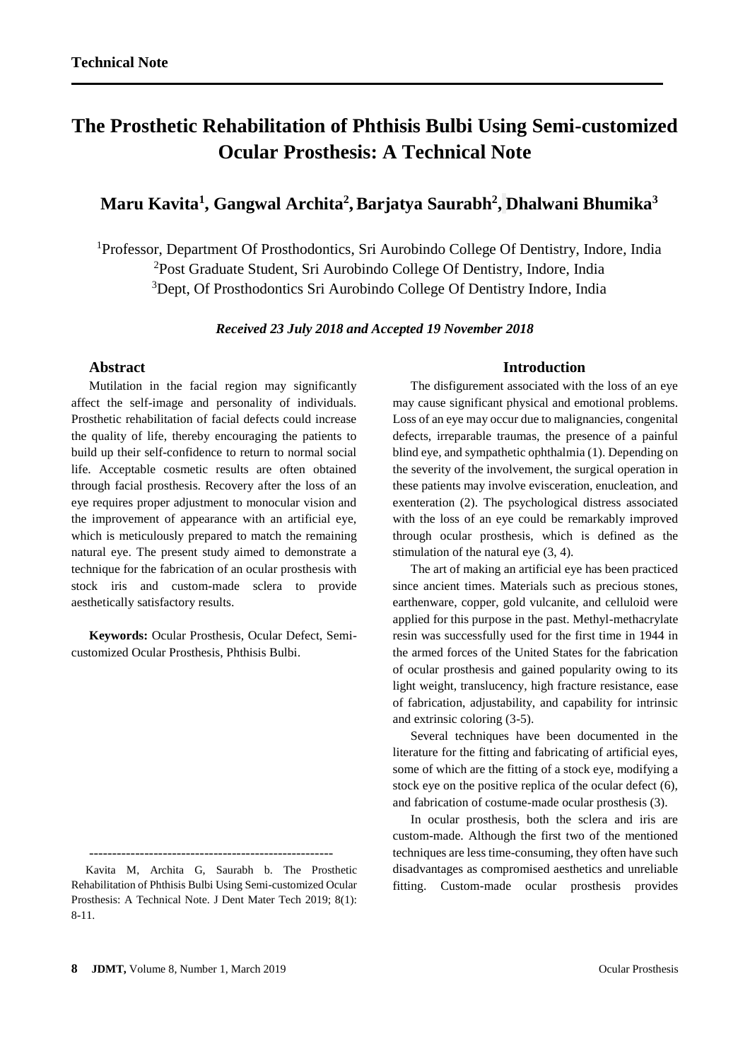# **The Prosthetic Rehabilitation of Phthisis Bulbi Using Semi-customized Ocular Prosthesis: A Technical Note**

## **Maru Kavita<sup>1</sup> , Gangwal Archita<sup>2</sup> ,Barjatya Saurabh<sup>2</sup> , Dhalwani Bhumika<sup>3</sup>**

<sup>1</sup>Professor, Department Of Prosthodontics, Sri Aurobindo College Of Dentistry, Indore, India <sup>2</sup>Post Graduate Student, Sri Aurobindo College Of Dentistry, Indore, India <sup>3</sup>Dept, Of Prosthodontics Sri Aurobindo College Of Dentistry Indore, India

*Received 23 July 2018 and Accepted 19 November 2018*

## **Abstract**

Mutilation in the facial region may significantly affect the self-image and personality of individuals. Prosthetic rehabilitation of facial defects could increase the quality of life, thereby encouraging the patients to build up their self-confidence to return to normal social life. Acceptable cosmetic results are often obtained through facial prosthesis. Recovery after the loss of an eye requires proper adjustment to monocular vision and the improvement of appearance with an artificial eye, which is meticulously prepared to match the remaining natural eye. The present study aimed to demonstrate a technique for the fabrication of an ocular prosthesis with stock iris and custom-made sclera to provide aesthetically satisfactory results.

**Keywords:** Ocular Prosthesis, Ocular Defect, Semicustomized Ocular Prosthesis, Phthisis Bulbi.

-----------------------------------------------------

## **Introduction**

The disfigurement associated with the loss of an eye may cause significant physical and emotional problems. Loss of an eye may occur due to malignancies, congenital defects, irreparable traumas, the presence of a painful blind eye, and sympathetic ophthalmia (1). Depending on the severity of the involvement, the surgical operation in these patients may involve evisceration, enucleation, and exenteration (2). The psychological distress associated with the loss of an eye could be remarkably improved through ocular prosthesis, which is defined as the stimulation of the natural eye (3, 4).

The art of making an artificial eye has been practiced since ancient times. Materials such as precious stones, earthenware, copper, gold vulcanite, and celluloid were applied for this purpose in the past. Methyl-methacrylate resin was successfully used for the first time in 1944 in the armed forces of the United States for the fabrication of ocular prosthesis and gained popularity owing to its light weight, translucency, high fracture resistance, ease of fabrication, adjustability, and capability for intrinsic and extrinsic coloring (3-5).

Several techniques have been documented in the literature for the fitting and fabricating of artificial eyes, some of which are the fitting of a stock eye, modifying a stock eye on the positive replica of the ocular defect (6), and fabrication of costume-made ocular prosthesis (3).

In ocular prosthesis, both the sclera and iris are custom-made. Although the first two of the mentioned techniques are less time-consuming, they often have such disadvantages as compromised aesthetics and unreliable fitting. Custom-made ocular prosthesis provides

Kavita M, Archita G, Saurabh b. The Prosthetic Rehabilitation of Phthisis Bulbi Using Semi-customized Ocular Prosthesis: A Technical Note. J Dent Mater Tech 2019; 8(1): 8-11.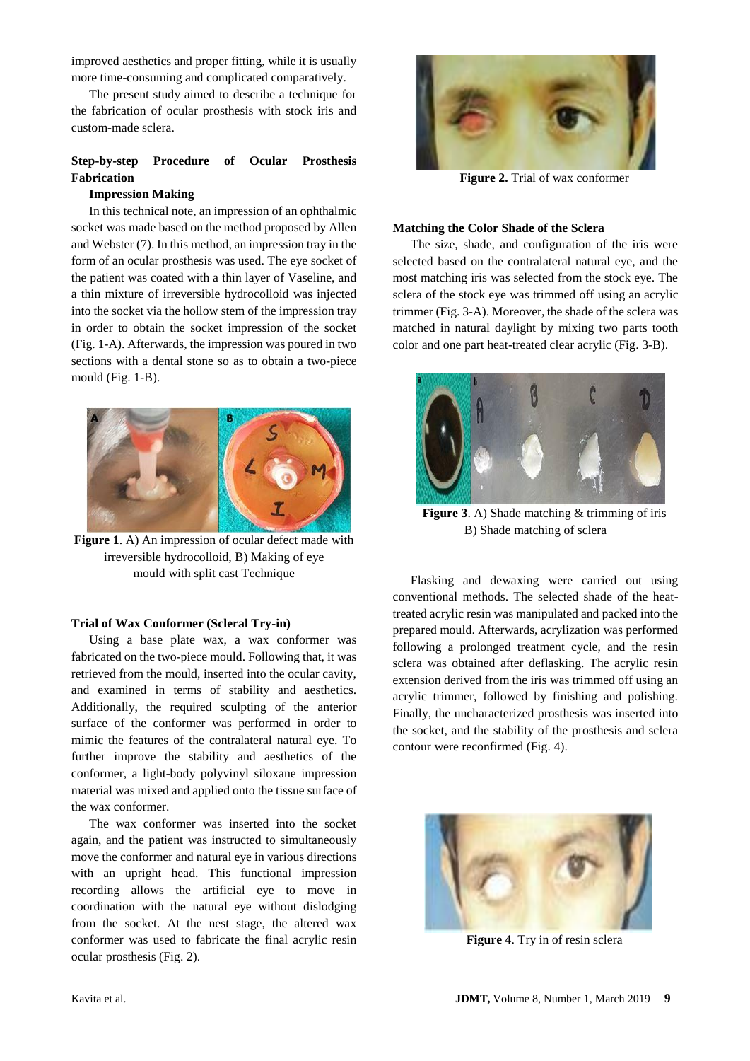improved aesthetics and proper fitting, while it is usually more time-consuming and complicated comparatively.

The present study aimed to describe a technique for the fabrication of ocular prosthesis with stock iris and custom-made sclera.

## **Step-by-step Procedure of Ocular Prosthesis Fabrication**

#### **Impression Making**

In this technical note, an impression of an ophthalmic socket was made based on the method proposed by Allen and Webster (7). In this method, an impression tray in the form of an ocular prosthesis was used. The eye socket of the patient was coated with a thin layer of Vaseline, and a thin mixture of irreversible hydrocolloid was injected into the socket via the hollow stem of the impression tray in order to obtain the socket impression of the socket (Fig. 1-A). Afterwards, the impression was poured in two sections with a dental stone so as to obtain a two-piece mould (Fig. 1-B).



Figure 1. A) An impression of ocular defect made with irreversible hydrocolloid, B) Making of eye mould with split cast Technique

#### **Trial of Wax Conformer (Scleral Try-in)**

Using a base plate wax, a wax conformer was fabricated on the two-piece mould. Following that, it was retrieved from the mould, inserted into the ocular cavity, and examined in terms of stability and aesthetics. Additionally, the required sculpting of the anterior surface of the conformer was performed in order to mimic the features of the contralateral natural eye. To further improve the stability and aesthetics of the conformer, a light-body polyvinyl siloxane impression material was mixed and applied onto the tissue surface of the wax conformer.

The wax conformer was inserted into the socket again, and the patient was instructed to simultaneously move the conformer and natural eye in various directions with an upright head. This functional impression recording allows the artificial eye to move in coordination with the natural eye without dislodging from the socket. At the nest stage, the altered wax conformer was used to fabricate the final acrylic resin ocular prosthesis (Fig. 2).



**Figure 2.** Trial of wax conformer

#### **Matching the Color Shade of the Sclera**

The size, shade, and configuration of the iris were selected based on the contralateral natural eye, and the most matching iris was selected from the stock eye. The sclera of the stock eye was trimmed off using an acrylic trimmer (Fig. 3-A). Moreover, the shade of the sclera was matched in natural daylight by mixing two parts tooth color and one part heat-treated clear acrylic (Fig. 3-B).



**Figure 3**. A) Shade matching & trimming of iris B) Shade matching of sclera

Flasking and dewaxing were carried out using conventional methods. The selected shade of the heattreated acrylic resin was manipulated and packed into the prepared mould. Afterwards, acrylization was performed following a prolonged treatment cycle, and the resin sclera was obtained after deflasking. The acrylic resin extension derived from the iris was trimmed off using an acrylic trimmer, followed by finishing and polishing. Finally, the uncharacterized prosthesis was inserted into the socket, and the stability of the prosthesis and sclera contour were reconfirmed (Fig. 4).



**Figure 4**. Try in of resin sclera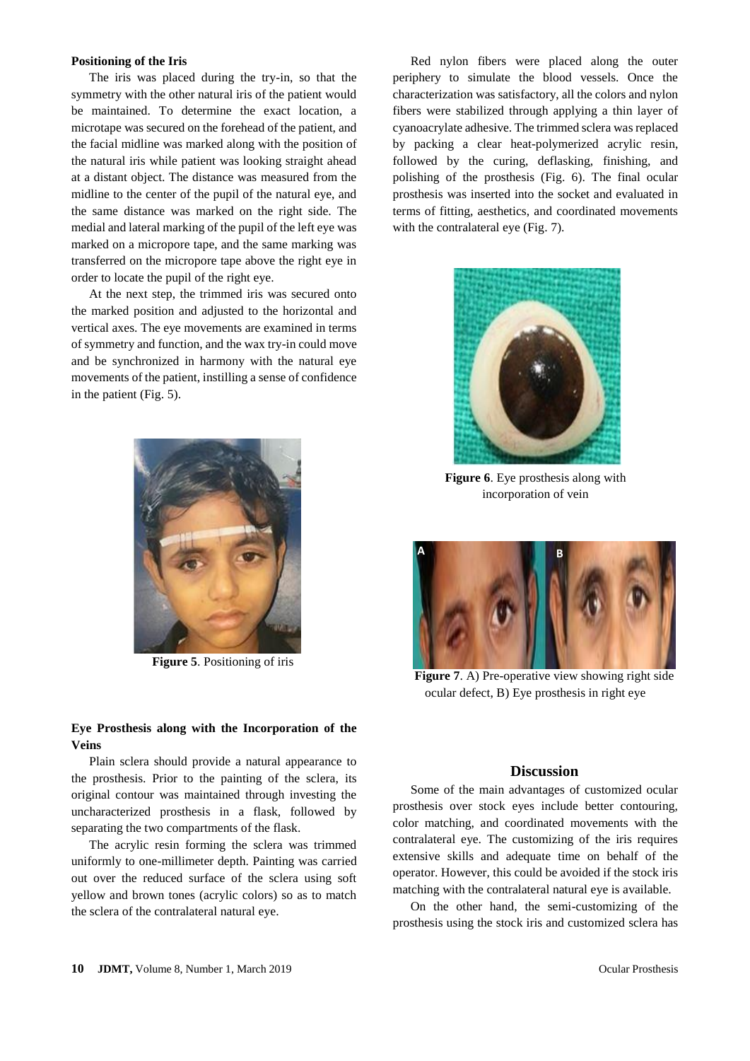#### **Positioning of the Iris**

The iris was placed during the try-in, so that the symmetry with the other natural iris of the patient would be maintained. To determine the exact location, a microtape was secured on the forehead of the patient, and the facial midline was marked along with the position of the natural iris while patient was looking straight ahead at a distant object. The distance was measured from the midline to the center of the pupil of the natural eye, and the same distance was marked on the right side. The medial and lateral marking of the pupil of the left eye was marked on a micropore tape, and the same marking was transferred on the micropore tape above the right eye in order to locate the pupil of the right eye.

At the next step, the trimmed iris was secured onto the marked position and adjusted to the horizontal and vertical axes. The eye movements are examined in terms of symmetry and function, and the wax try-in could move and be synchronized in harmony with the natural eye movements of the patient, instilling a sense of confidence in the patient (Fig. 5).



**Figure 5**. Positioning of iris

## **Eye Prosthesis along with the Incorporation of the Veins**

Plain sclera should provide a natural appearance to the prosthesis. Prior to the painting of the sclera, its original contour was maintained through investing the uncharacterized prosthesis in a flask, followed by separating the two compartments of the flask.

The acrylic resin forming the sclera was trimmed uniformly to one-millimeter depth. Painting was carried out over the reduced surface of the sclera using soft yellow and brown tones (acrylic colors) so as to match the sclera of the contralateral natural eye.

Red nylon fibers were placed along the outer periphery to simulate the blood vessels. Once the characterization was satisfactory, all the colors and nylon fibers were stabilized through applying a thin layer of cyanoacrylate adhesive. The trimmed sclera was replaced by packing a clear heat-polymerized acrylic resin, followed by the curing, deflasking, finishing, and polishing of the prosthesis (Fig. 6). The final ocular prosthesis was inserted into the socket and evaluated in terms of fitting, aesthetics, and coordinated movements with the contralateral eye (Fig. 7).



**Figure 6**. Eye prosthesis along with incorporation of vein



**Figure 7**. A) Pre-operative view showing right side ocular defect, B) Eye prosthesis in right eye

#### **Discussion**

Some of the main advantages of customized ocular prosthesis over stock eyes include better contouring, color matching, and coordinated movements with the contralateral eye. The customizing of the iris requires extensive skills and adequate time on behalf of the operator. However, this could be avoided if the stock iris matching with the contralateral natural eye is available.

On the other hand, the semi-customizing of the prosthesis using the stock iris and customized sclera has